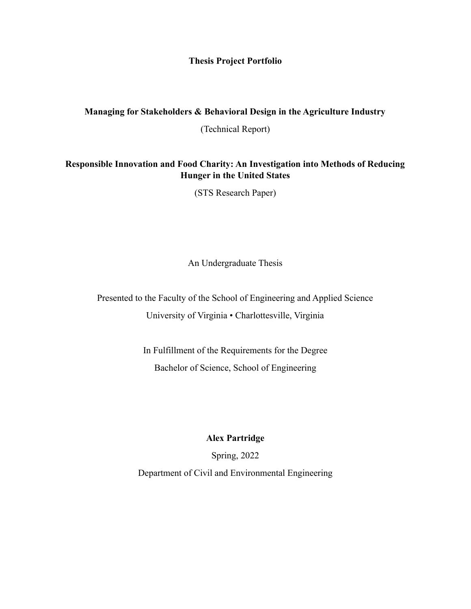#### **Thesis Project Portfolio**

### **Managing for Stakeholders & Behavioral Design in the Agriculture Industry**

(Technical Report)

## **Responsible Innovation and Food Charity: An Investigation into Methods of Reducing Hunger in the United States**

(STS Research Paper)

An Undergraduate Thesis

Presented to the Faculty of the School of Engineering and Applied Science University of Virginia • Charlottesville, Virginia

> In Fulfillment of the Requirements for the Degree Bachelor of Science, School of Engineering

## **Alex Partridge**

Spring, 2022 Department of Civil and Environmental Engineering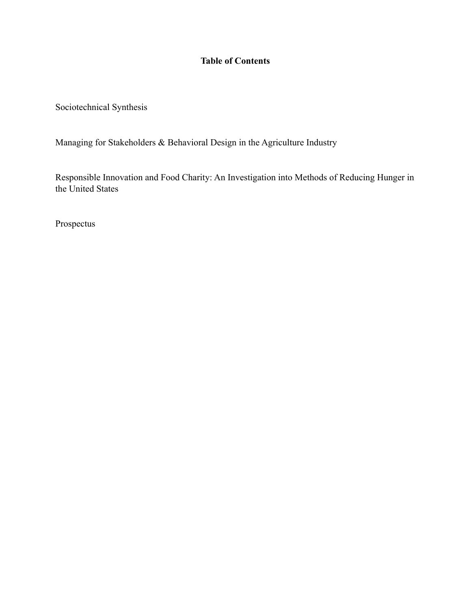# **Table of Contents**

Sociotechnical Synthesis

Managing for Stakeholders & Behavioral Design in the Agriculture Industry

Responsible Innovation and Food Charity: An Investigation into Methods of Reducing Hunger in the United States

Prospectus